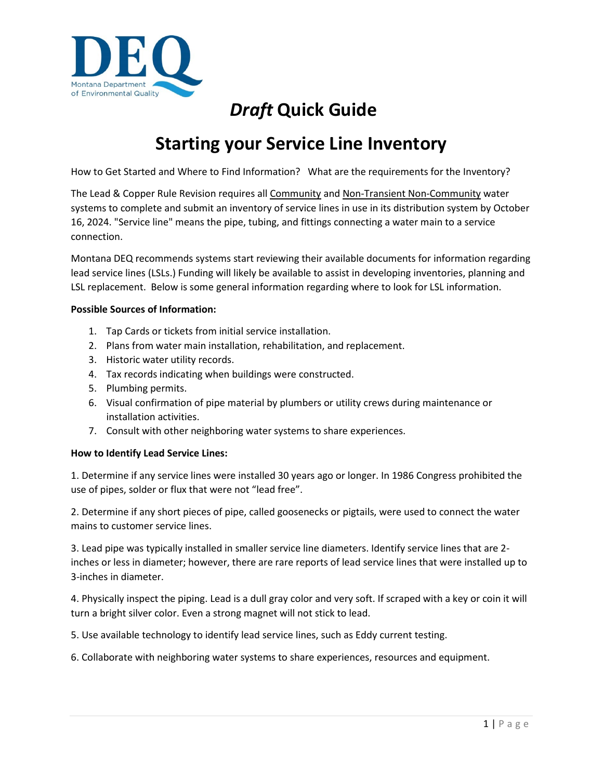

# *Draft* **Quick Guide**

# **Starting your Service Line Inventory**

How to Get Started and Where to Find Information? What are the requirements for the Inventory?

The Lead & Copper Rule Revision requires all Community and Non-Transient Non-Community water systems to complete and submit an inventory of service lines in use in its distribution system by October 16, 2024. "Service line" means the pipe, tubing, and fittings connecting a water main to a service connection.

Montana DEQ recommends systems start reviewing their available documents for information regarding lead service lines (LSLs.) Funding will likely be available to assist in developing inventories, planning and LSL replacement. Below is some general information regarding where to look for LSL information.

# **Possible Sources of Information:**

- 1. Tap Cards or tickets from initial service installation.
- 2. Plans from water main installation, rehabilitation, and replacement.
- 3. Historic water utility records.
- 4. Tax records indicating when buildings were constructed.
- 5. Plumbing permits.
- 6. Visual confirmation of pipe material by plumbers or utility crews during maintenance or installation activities.
- 7. Consult with other neighboring water systems to share experiences.

# **How to Identify Lead Service Lines:**

1. Determine if any service lines were installed 30 years ago or longer. In 1986 Congress prohibited the use of pipes, solder or flux that were not "lead free".

2. Determine if any short pieces of pipe, called goosenecks or pigtails, were used to connect the water mains to customer service lines.

3. Lead pipe was typically installed in smaller service line diameters. Identify service lines that are 2 inches or less in diameter; however, there are rare reports of lead service lines that were installed up to 3-inches in diameter.

4. Physically inspect the piping. Lead is a dull gray color and very soft. If scraped with a key or coin it will turn a bright silver color. Even a strong magnet will not stick to lead.

5. Use available technology to identify lead service lines, such as Eddy current testing.

6. Collaborate with neighboring water systems to share experiences, resources and equipment.